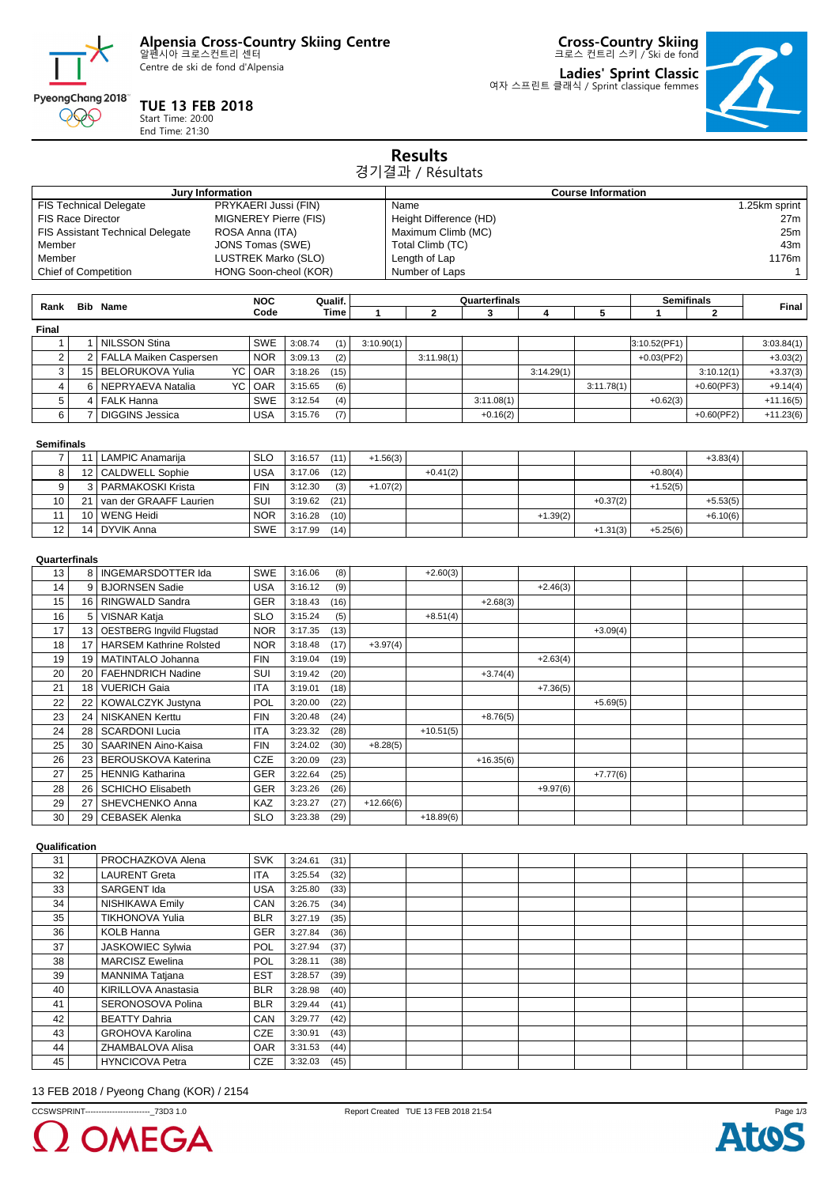

Centre de ski de fond d'Alpensia

**TUE 13 FEB 2018** Start Time: 20:00 End Time: 21:30

PyeongChang 2018 000

**Cross-Country Skiing** 크로스 컨트리 스키 / Ski de fond

**Ladies' Sprint Classic** 여자 스프린트 클래식 / Sprint classique femmes



|                                                                                                                                                                                                                                         |                |                                  |                    |                       |                 |             | <b>Results</b><br>경기결과 / Résultats                                                                                                                                    |                    |            |            |                        |               |              |  |
|-----------------------------------------------------------------------------------------------------------------------------------------------------------------------------------------------------------------------------------------|----------------|----------------------------------|--------------------|-----------------------|-----------------|-------------|-----------------------------------------------------------------------------------------------------------------------------------------------------------------------|--------------------|------------|------------|------------------------|---------------|--------------|--|
|                                                                                                                                                                                                                                         |                | Jury Information                 |                    |                       |                 |             |                                                                                                                                                                       |                    |            |            |                        |               |              |  |
| PRYKAERI Jussi (FIN)<br><b>FIS Technical Delegate</b><br><b>FIS Race Director</b><br>MIGNEREY Pierre (FIS)<br><b>FIS Assistant Technical Delegate</b><br>ROSA Anna (ITA)<br>Member<br>JONS Tomas (SWE)<br>Member<br>LUSTREK Marko (SLO) |                |                                  |                    |                       |                 |             | <b>Course Information</b><br>1.25km sprint<br>Name<br>Height Difference (HD)<br>27m<br>Maximum Climb (MC)<br>25m<br>43m<br>Total Climb (TC)<br>Length of Lap<br>1176m |                    |            |            |                        |               |              |  |
|                                                                                                                                                                                                                                         |                | <b>Chief of Competition</b>      |                    | HONG Soon-cheol (KOR) |                 |             | Number of Laps                                                                                                                                                        |                    |            |            |                        |               | $\mathbf{1}$ |  |
| Rank                                                                                                                                                                                                                                    |                | <b>Bib Name</b>                  | <b>NOC</b><br>Code |                       | Qualif.<br>Time | 1           | $\mathbf{2}$                                                                                                                                                          | Quarterfinals<br>3 | 4          | 5          | <b>Semifinals</b><br>1 | $\mathbf{2}$  | Final        |  |
| Final                                                                                                                                                                                                                                   |                |                                  |                    |                       |                 |             |                                                                                                                                                                       |                    |            |            |                        |               |              |  |
| $\mathbf{1}$                                                                                                                                                                                                                            | $\mathbf{1}$   | <b>NILSSON Stina</b>             | <b>SWE</b>         | 3:08.74               | (1)             | 3:10.90(1)  |                                                                                                                                                                       |                    |            |            | 3:10.52(PF1)           |               | 3:03.84(1)   |  |
| $\overline{c}$                                                                                                                                                                                                                          | 2              | FALLA Maiken Caspersen           | <b>NOR</b>         | 3:09.13               | (2)             |             | 3:11.98(1)                                                                                                                                                            |                    |            |            | $+0.03$ (PF2)          |               | $+3.03(2)$   |  |
| 3                                                                                                                                                                                                                                       | 15             | <b>BELORUKOVA Yulia</b><br>YC    | OAR                | 3:18.26               | (15)            |             |                                                                                                                                                                       |                    | 3:14.29(1) |            |                        | 3:10.12(1)    | $+3.37(3)$   |  |
| 4                                                                                                                                                                                                                                       | 6              | NEPRYAEVA Natalia<br>YC          | OAR                | 3:15.65               | (6)             |             |                                                                                                                                                                       |                    |            | 3:11.78(1) |                        | $+0.60$ (PF3) | $+9.14(4)$   |  |
| 5                                                                                                                                                                                                                                       | $\overline{4}$ | <b>FALK Hanna</b>                | <b>SWE</b>         | 3:12.54               | (4)             |             |                                                                                                                                                                       | 3:11.08(1)         |            |            | $+0.62(3)$             |               | $+11.16(5)$  |  |
| 6                                                                                                                                                                                                                                       | 7              | <b>DIGGINS Jessica</b>           | <b>USA</b>         | 3:15.76               | (7)             |             |                                                                                                                                                                       | $+0.16(2)$         |            |            |                        | $+0.60$ (PF2) | $+11.23(6)$  |  |
|                                                                                                                                                                                                                                         |                |                                  |                    |                       |                 |             |                                                                                                                                                                       |                    |            |            |                        |               |              |  |
| <b>Semifinals</b><br>7                                                                                                                                                                                                                  |                | 11   LAMPIC Anamarija            | <b>SLO</b>         | 3:16.57               | (11)            | $+1.56(3)$  |                                                                                                                                                                       |                    |            |            |                        | $+3.83(4)$    |              |  |
| 8                                                                                                                                                                                                                                       | 12             | <b>CALDWELL Sophie</b>           | <b>USA</b>         | 3:17.06               | (12)            |             | $+0.41(2)$                                                                                                                                                            |                    |            |            | $+0.80(4)$             |               |              |  |
| 9                                                                                                                                                                                                                                       | 3              | PARMAKOSKI Krista                | <b>FIN</b>         | 3:12.30               | (3)             | $+1.07(2)$  |                                                                                                                                                                       |                    |            |            | $+1.52(5)$             |               |              |  |
| 10                                                                                                                                                                                                                                      | 21             | van der GRAAFF Laurien           | SUI                | 3:19.62               | (21)            |             |                                                                                                                                                                       |                    |            | $+0.37(2)$ |                        | $+5.53(5)$    |              |  |
| 11                                                                                                                                                                                                                                      | 10             | <b>WENG Heidi</b>                | <b>NOR</b>         | 3:16.28               | (10)            |             |                                                                                                                                                                       |                    | $+1.39(2)$ |            |                        | $+6.10(6)$    |              |  |
| 12                                                                                                                                                                                                                                      | 14             | <b>DYVIK Anna</b>                | <b>SWE</b>         | 3:17.99               | (14)            |             |                                                                                                                                                                       |                    |            | $+1.31(3)$ | $+5.25(6)$             |               |              |  |
|                                                                                                                                                                                                                                         |                |                                  |                    |                       |                 |             |                                                                                                                                                                       |                    |            |            |                        |               |              |  |
| Quarterfinals                                                                                                                                                                                                                           |                |                                  |                    |                       |                 |             |                                                                                                                                                                       |                    |            |            |                        |               |              |  |
| 13                                                                                                                                                                                                                                      | 8              | <b>INGEMARSDOTTER Ida</b>        | <b>SWE</b>         | 3:16.06               | (8)             |             | $+2.60(3)$                                                                                                                                                            |                    |            |            |                        |               |              |  |
| 14                                                                                                                                                                                                                                      | 9              | <b>BJORNSEN Sadie</b>            | <b>USA</b>         | 3:16.12               | (9)             |             |                                                                                                                                                                       |                    | $+2.46(3)$ |            |                        |               |              |  |
| 15                                                                                                                                                                                                                                      | 16             | RINGWALD Sandra                  | GER                | 3:18.43               | (16)            |             |                                                                                                                                                                       | $+2.68(3)$         |            |            |                        |               |              |  |
| 16                                                                                                                                                                                                                                      | 5              | <b>VISNAR Katja</b>              | <b>SLO</b>         | 3:15.24               | (5)             |             | $+8.51(4)$                                                                                                                                                            |                    |            |            |                        |               |              |  |
| 17                                                                                                                                                                                                                                      | 13             | <b>OESTBERG Ingvild Flugstad</b> | <b>NOR</b>         | 3:17.35               | (13)            |             |                                                                                                                                                                       |                    |            | $+3.09(4)$ |                        |               |              |  |
| 18                                                                                                                                                                                                                                      | 17             | <b>HARSEM Kathrine Rolsted</b>   | <b>NOR</b>         | 3:18.48               | (17)            | $+3.97(4)$  |                                                                                                                                                                       |                    |            |            |                        |               |              |  |
| 19                                                                                                                                                                                                                                      | 19             | MATINTALO Johanna                | <b>FIN</b>         | 3:19.04               | (19)            |             |                                                                                                                                                                       |                    | $+2.63(4)$ |            |                        |               |              |  |
| 20                                                                                                                                                                                                                                      | 20             | <b>FAEHNDRICH Nadine</b>         | SUI                | 3:19.42               | (20)            |             |                                                                                                                                                                       | $+3.74(4)$         |            |            |                        |               |              |  |
| 21                                                                                                                                                                                                                                      | 18             | <b>VUERICH Gaia</b>              | <b>ITA</b>         | 3:19.01               | (18)            |             |                                                                                                                                                                       |                    | $+7.36(5)$ |            |                        |               |              |  |
| 22                                                                                                                                                                                                                                      | 22             | KOWALCZYK Justyna                | <b>POL</b>         | 3:20.00               | (22)            |             |                                                                                                                                                                       |                    |            | $+5.69(5)$ |                        |               |              |  |
| 23                                                                                                                                                                                                                                      | 24             | <b>NISKANEN Kerttu</b>           | <b>FIN</b>         | 3:20.48               | (24)            |             |                                                                                                                                                                       | $+8.76(5)$         |            |            |                        |               |              |  |
| 24                                                                                                                                                                                                                                      | 28             | <b>SCARDONI Lucia</b>            | <b>ITA</b>         | 3:23.32               | (28)            |             | $+10.51(5)$                                                                                                                                                           |                    |            |            |                        |               |              |  |
| 25                                                                                                                                                                                                                                      | 30             | <b>SAARINEN Aino-Kaisa</b>       | <b>FIN</b>         | 3:24.02               | (30)            | $+8.28(5)$  |                                                                                                                                                                       |                    |            |            |                        |               |              |  |
| 26                                                                                                                                                                                                                                      | 23             | BEROUSKOVA Katerina              | CZE                | 3:20.09               | (23)            |             |                                                                                                                                                                       | $+16.35(6)$        |            |            |                        |               |              |  |
| 27                                                                                                                                                                                                                                      |                | 25 HENNIG Katharina              | GER                | $3:22.64$ (25)        |                 |             |                                                                                                                                                                       |                    |            | $+7.77(6)$ |                        |               |              |  |
| 28                                                                                                                                                                                                                                      |                | 26   SCHICHO Elisabeth           | GER                | $3:23.26$ (26)        |                 |             |                                                                                                                                                                       |                    | $+9.97(6)$ |            |                        |               |              |  |
| 29                                                                                                                                                                                                                                      | 27             | SHEVCHENKO Anna                  | KAZ                | 3:23.27               | (27)            | $+12.66(6)$ |                                                                                                                                                                       |                    |            |            |                        |               |              |  |
| 30                                                                                                                                                                                                                                      | 29             | <b>CEBASEK Alenka</b>            | <b>SLO</b>         | 3:23.38               | (29)            |             | $+18.89(6)$                                                                                                                                                           |                    |            |            |                        |               |              |  |
| Qualification                                                                                                                                                                                                                           |                |                                  |                    |                       |                 |             |                                                                                                                                                                       |                    |            |            |                        |               |              |  |
| 31                                                                                                                                                                                                                                      |                | PROCHAZKOVA Alena                | <b>SVK</b>         | 3:24.61               | (31)            |             |                                                                                                                                                                       |                    |            |            |                        |               |              |  |
| 32                                                                                                                                                                                                                                      |                | <b>LAURENT Greta</b>             | <b>ITA</b>         | 3:25.54               | (32)            |             |                                                                                                                                                                       |                    |            |            |                        |               |              |  |
| 33                                                                                                                                                                                                                                      |                | SARGENT Ida                      | <b>USA</b>         | $3:25.80$ (33)        |                 |             |                                                                                                                                                                       |                    |            |            |                        |               |              |  |

| 32 | <b>LAURENT Greta</b>    | <b>ITA</b> | 3:25.54 | (32) |  |  |  |  |
|----|-------------------------|------------|---------|------|--|--|--|--|
| 33 | SARGENT Ida             | <b>USA</b> | 3:25.80 | (33) |  |  |  |  |
| 34 | <b>NISHIKAWA Emily</b>  | CAN        | 3:26.75 | (34) |  |  |  |  |
| 35 | <b>TIKHONOVA Yulia</b>  | <b>BLR</b> | 3:27.19 | (35) |  |  |  |  |
| 36 | <b>KOLB Hanna</b>       | <b>GER</b> | 3:27.84 | (36) |  |  |  |  |
| 37 | <b>JASKOWIEC Sylwia</b> | <b>POL</b> | 3:27.94 | (37) |  |  |  |  |
| 38 | <b>MARCISZ Ewelina</b>  | <b>POL</b> | 3:28.11 | (38) |  |  |  |  |
| 39 | <b>MANNIMA Tatjana</b>  | <b>EST</b> | 3:28.57 | (39) |  |  |  |  |
| 40 | KIRILLOVA Anastasia     | <b>BLR</b> | 3:28.98 | (40) |  |  |  |  |
| 41 | SERONOSOVA Polina       | <b>BLR</b> | 3:29.44 | (41) |  |  |  |  |
| 42 | <b>BEATTY Dahria</b>    | CAN        | 3:29.77 | (42) |  |  |  |  |
| 43 | <b>GROHOVA Karolina</b> | <b>CZE</b> | 3:30.91 | (43) |  |  |  |  |
| 44 | ZHAMBALOVA Alisa        | <b>OAR</b> | 3:31.53 | (44) |  |  |  |  |
| 45 | <b>HYNCICOVA Petra</b>  | <b>CZE</b> | 3:32.03 | (45) |  |  |  |  |

## 13 FEB 2018 / Pyeong Chang (KOR) / 2154

CCSWSPRINT------------------------\_73D3 1.0 Report Created TUE 13 FEB 2018 21:54



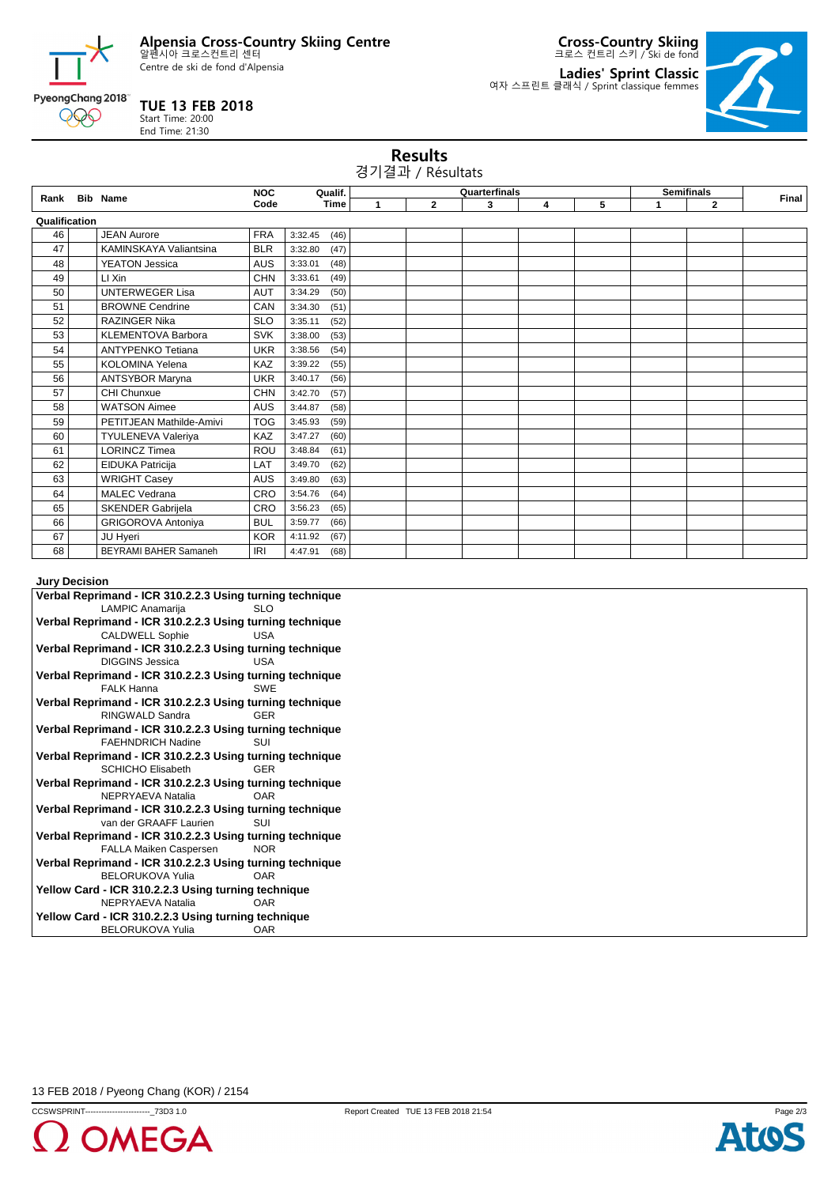**Alpensia Cross-Country Skiing Centre** 알펜시아 크로스컨트리 센터

Centre de ski de fond d'Alpensia

**TUE 13 FEB 2018** Start Time: 20:00 End Time: 21:30

PyeongChang 2018 000

**Cross-Country Skiing** 크로스 컨트리 스키 / Ski de fond

**Ladies' Sprint Classic** 여자 스프린트 클래식 / Sprint classique femmes



|                      | <b>Results</b><br>경기결과 / Résultats |                              |            |                 |   |              |               |   |   |                      |                   |       |
|----------------------|------------------------------------|------------------------------|------------|-----------------|---|--------------|---------------|---|---|----------------------|-------------------|-------|
|                      |                                    | Rank Bib Name                | <b>NOC</b> | Qualif.         |   |              | Quarterfinals |   |   |                      | <b>Semifinals</b> | Final |
|                      |                                    |                              | Code       | Time            | 1 | $\mathbf{2}$ | 3             | 4 | 5 | $\blacktriangleleft$ | $\mathbf{2}$      |       |
| Qualification        |                                    |                              |            |                 |   |              |               |   |   |                      |                   |       |
| 46                   |                                    | <b>JEAN Aurore</b>           | <b>FRA</b> | 3:32.45<br>(46) |   |              |               |   |   |                      |                   |       |
| 47                   |                                    | KAMINSKAYA Valiantsina       | <b>BLR</b> | (47)<br>3:32.80 |   |              |               |   |   |                      |                   |       |
| 48                   |                                    | <b>YEATON Jessica</b>        | <b>AUS</b> | 3:33.01<br>(48) |   |              |               |   |   |                      |                   |       |
| 49                   |                                    | LI Xin                       | <b>CHN</b> | 3:33.61<br>(49) |   |              |               |   |   |                      |                   |       |
| 50                   |                                    | <b>UNTERWEGER Lisa</b>       | <b>AUT</b> | 3:34.29<br>(50) |   |              |               |   |   |                      |                   |       |
| 51                   |                                    | <b>BROWNE Cendrine</b>       | CAN        | (51)<br>3:34.30 |   |              |               |   |   |                      |                   |       |
| 52                   |                                    | <b>RAZINGER Nika</b>         | <b>SLO</b> | (52)<br>3:35.11 |   |              |               |   |   |                      |                   |       |
| 53                   |                                    | <b>KLEMENTOVA Barbora</b>    | <b>SVK</b> | 3:38.00<br>(53) |   |              |               |   |   |                      |                   |       |
| 54                   |                                    | <b>ANTYPENKO Tetiana</b>     | <b>UKR</b> | (54)<br>3:38.56 |   |              |               |   |   |                      |                   |       |
| 55                   |                                    | <b>KOLOMINA Yelena</b>       | KAZ        | 3:39.22<br>(55) |   |              |               |   |   |                      |                   |       |
| 56                   |                                    | <b>ANTSYBOR Maryna</b>       | <b>UKR</b> | 3:40.17<br>(56) |   |              |               |   |   |                      |                   |       |
| 57                   |                                    | CHI Chunxue                  | <b>CHN</b> | (57)<br>3:42.70 |   |              |               |   |   |                      |                   |       |
| 58                   |                                    | <b>WATSON Aimee</b>          | AUS        | 3:44.87<br>(58) |   |              |               |   |   |                      |                   |       |
| 59                   |                                    | PETITJEAN Mathilde-Amivi     | <b>TOG</b> | (59)<br>3:45.93 |   |              |               |   |   |                      |                   |       |
| 60                   |                                    | <b>TYULENEVA Valeriya</b>    | KAZ        | 3:47.27<br>(60) |   |              |               |   |   |                      |                   |       |
| 61                   |                                    | <b>LORINCZ Timea</b>         | ROU        | (61)<br>3:48.84 |   |              |               |   |   |                      |                   |       |
| 62                   |                                    | EIDUKA Patricija             | LAT        | (62)<br>3:49.70 |   |              |               |   |   |                      |                   |       |
| 63                   |                                    | <b>WRIGHT Casey</b>          | AUS        | 3:49.80<br>(63) |   |              |               |   |   |                      |                   |       |
| 64                   |                                    | <b>MALEC Vedrana</b>         | CRO        | 3:54.76<br>(64) |   |              |               |   |   |                      |                   |       |
| 65                   |                                    | SKENDER Gabrijela            | CRO        | 3:56.23<br>(65) |   |              |               |   |   |                      |                   |       |
| 66                   |                                    | <b>GRIGOROVA Antoniya</b>    | <b>BUL</b> | 3:59.77<br>(66) |   |              |               |   |   |                      |                   |       |
| 67                   |                                    | JU Hyeri                     | <b>KOR</b> | (67)<br>4:11.92 |   |              |               |   |   |                      |                   |       |
| 68                   |                                    | <b>BEYRAMI BAHER Samaneh</b> | <b>IRI</b> | 4:47.91<br>(68) |   |              |               |   |   |                      |                   |       |
| <b>Jury Decision</b> |                                    |                              |            |                 |   |              |               |   |   |                      |                   |       |

| Verbal Reprimand - ICR 310.2.2.3 Using turning technique |  |  |  |  |  |  |
|----------------------------------------------------------|--|--|--|--|--|--|
| LAMPIC Anamarija<br><b>SLO</b>                           |  |  |  |  |  |  |
| Verbal Reprimand - ICR 310.2.2.3 Using turning technique |  |  |  |  |  |  |
| <b>CALDWELL Sophie</b><br><b>USA</b>                     |  |  |  |  |  |  |
| Verbal Reprimand - ICR 310.2.2.3 Using turning technique |  |  |  |  |  |  |
| <b>DIGGINS Jessica</b><br>USA                            |  |  |  |  |  |  |
| Verbal Reprimand - ICR 310.2.2.3 Using turning technique |  |  |  |  |  |  |
| <b>FALK Hanna</b><br><b>SWF</b>                          |  |  |  |  |  |  |
| Verbal Reprimand - ICR 310.2.2.3 Using turning technique |  |  |  |  |  |  |
| RINGWALD Sandra<br><b>GFR</b>                            |  |  |  |  |  |  |
| Verbal Reprimand - ICR 310.2.2.3 Using turning technique |  |  |  |  |  |  |
| <b>FAEHNDRICH Nadine</b><br>SUI                          |  |  |  |  |  |  |
| Verbal Reprimand - ICR 310.2.2.3 Using turning technique |  |  |  |  |  |  |
| <b>SCHICHO Elisabeth</b><br><b>GFR</b>                   |  |  |  |  |  |  |
| Verbal Reprimand - ICR 310.2.2.3 Using turning technique |  |  |  |  |  |  |
| NEPRYAEVA Natalia<br><b>OAR</b>                          |  |  |  |  |  |  |
| Verbal Reprimand - ICR 310.2.2.3 Using turning technique |  |  |  |  |  |  |
| van der GRAAFF Laurien<br><b>SUI</b>                     |  |  |  |  |  |  |
| Verbal Reprimand - ICR 310.2.2.3 Using turning technique |  |  |  |  |  |  |
| <b>NOR</b><br>FALLA Maiken Caspersen                     |  |  |  |  |  |  |
| Verbal Reprimand - ICR 310.2.2.3 Using turning technique |  |  |  |  |  |  |
| <b>OAR</b><br><b>BELORUKOVA Yulia</b>                    |  |  |  |  |  |  |
| Yellow Card - ICR 310.2.2.3 Using turning technique      |  |  |  |  |  |  |
| NEPRYAEVA Natalia<br><b>OAR</b>                          |  |  |  |  |  |  |
| Yellow Card - ICR 310.2.2.3 Using turning technique      |  |  |  |  |  |  |
| <b>BELORUKOVA Yulia</b><br>OAR                           |  |  |  |  |  |  |

13 FEB 2018 / Pyeong Chang (KOR) / 2154